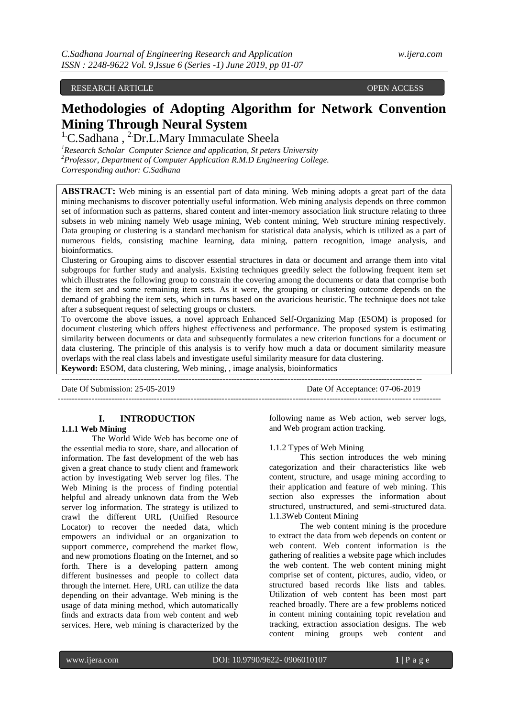# RESEARCH ARTICLE **OPEN ACCESS**

# **Methodologies of Adopting Algorithm for Network Convention Mining Through Neural System**

<sup>1</sup>C.Sadhana, <sup>2</sup>Dr.L.Mary Immaculate Sheela

*<sup>1</sup>Research Scholar Computer Science and application, St peters University <sup>2</sup>Professor, Department of Computer Application R.M.D Engineering College. Corresponding author: C.Sadhana*

**ABSTRACT:** Web mining is an essential part of data mining. Web mining adopts a great part of the data mining mechanisms to discover potentially useful information. Web mining analysis depends on three common set of information such as patterns, shared content and inter-memory association link structure relating to three subsets in web mining namely Web usage mining, Web content mining, Web structure mining respectively. Data grouping or clustering is a standard mechanism for statistical data analysis, which is utilized as a part of numerous fields, consisting machine learning, data mining, pattern recognition, image analysis, and bioinformatics.

Clustering or Grouping aims to discover essential structures in data or document and arrange them into vital subgroups for further study and analysis. Existing techniques greedily select the following frequent item set which illustrates the following group to constrain the covering among the documents or data that comprise both the item set and some remaining item sets. As it were, the grouping or clustering outcome depends on the demand of grabbing the item sets, which in turns based on the avaricious heuristic. The technique does not take after a subsequent request of selecting groups or clusters.

To overcome the above issues, a novel approach Enhanced Self-Organizing Map (ESOM) is proposed for document clustering which offers highest effectiveness and performance. The proposed system is estimating similarity between documents or data and subsequently formulates a new criterion functions for a document or data clustering. The principle of this analysis is to verify how much a data or document similarity measure overlaps with the real class labels and investigate useful similarity measure for data clustering. **Keyword:** ESOM, data clustering, Web mining, , image analysis, bioinformatics

------------------------------------------------------------------------------------------------------------------------------- Date Of Submission: 25-05-2019 Date Of Acceptance: 07-06-2019 ---------------------------------------------------------------------------------------------------------------------------------------

# **I. INTRODUCTION**

#### **1.1.1 Web Mining**

The World Wide Web has become one of the essential media to store, share, and allocation of information. The fast development of the web has given a great chance to study client and framework action by investigating Web server log files. The Web Mining is the process of finding potential helpful and already unknown data from the Web server log information. The strategy is utilized to crawl the different URL (Unified Resource Locator) to recover the needed data, which empowers an individual or an organization to support commerce, comprehend the market flow, and new promotions floating on the Internet, and so forth. There is a developing pattern among different businesses and people to collect data through the internet. Here, URL can utilize the data depending on their advantage. Web mining is the usage of data mining method, which automatically finds and extracts data from web content and web services. Here, web mining is characterized by the

following name as Web action, web server logs, and Web program action tracking.

#### 1.1.2 Types of Web Mining

This section introduces the web mining categorization and their characteristics like web content, structure, and usage mining according to their application and feature of web mining. This section also expresses the information about structured, unstructured, and semi-structured data. 1.1.3Web Content Mining

The web content mining is the procedure to extract the data from web depends on content or web content. Web content information is the gathering of realities a website page which includes the web content. The web content mining might comprise set of content, pictures, audio, video, or structured based records like lists and tables. Utilization of web content has been most part reached broadly. There are a few problems noticed in content mining containing topic revelation and tracking, extraction association designs. The web content mining groups web content and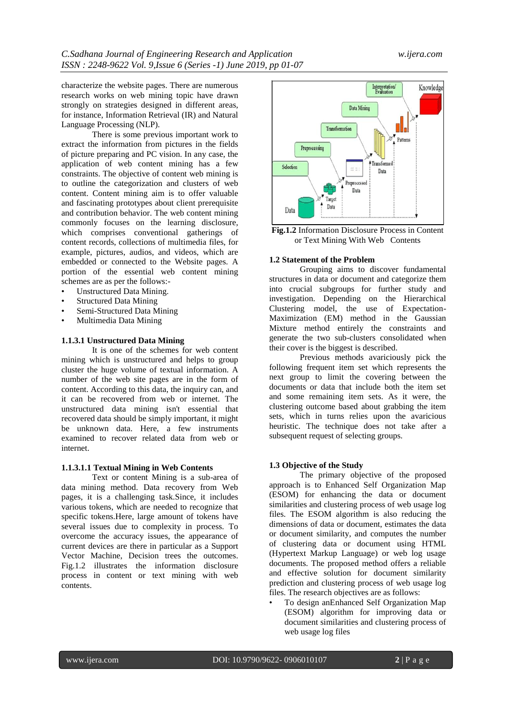characterize the website pages. There are numerous research works on web mining topic have drawn strongly on strategies designed in different areas, for instance, Information Retrieval (IR) and Natural Language Processing (NLP).

There is some previous important work to extract the information from pictures in the fields of picture preparing and PC vision. In any case, the application of web content mining has a few constraints. The objective of content web mining is to outline the categorization and clusters of web content. Content mining aim is to offer valuable and fascinating prototypes about client prerequisite and contribution behavior. The web content mining commonly focuses on the learning disclosure, which comprises conventional gatherings of content records, collections of multimedia files, for example, pictures, audios, and videos, which are embedded or connected to the Website pages. A portion of the essential web content mining schemes are as per the follows:-

- Unstructured Data Mining.
- Structured Data Mining
- Semi-Structured Data Mining
- Multimedia Data Mining

# **1.1.3.1 Unstructured Data Mining**

It is one of the schemes for web content mining which is unstructured and helps to group cluster the huge volume of textual information. A number of the web site pages are in the form of content. According to this data, the inquiry can, and it can be recovered from web or internet. The unstructured data mining isn't essential that recovered data should be simply important, it might be unknown data. Here, a few instruments examined to recover related data from web or internet.

#### **1.1.3.1.1 Textual Mining in Web Contents**

Text or content Mining is a sub-area of data mining method. Data recovery from Web pages, it is a challenging task.Since, it includes various tokens, which are needed to recognize that specific tokens.Here, large amount of tokens have several issues due to complexity in process. To overcome the accuracy issues, the appearance of current devices are there in particular as a Support Vector Machine, Decision trees the outcomes. Fig.1.2 illustrates the information disclosure process in content or text mining with web contents.



**Fig.1.2** Information Disclosure Process in Content or Text Mining With Web Contents

#### **1.2 Statement of the Problem**

Grouping aims to discover fundamental structures in data or document and categorize them into crucial subgroups for further study and investigation. Depending on the Hierarchical Clustering model, the use of Expectation-Maximization (EM) method in the Gaussian Mixture method entirely the constraints and generate the two sub-clusters consolidated when their cover is the biggest is described.

Previous methods avariciously pick the following frequent item set which represents the next group to limit the covering between the documents or data that include both the item set and some remaining item sets. As it were, the clustering outcome based about grabbing the item sets, which in turns relies upon the avaricious heuristic. The technique does not take after a subsequent request of selecting groups.

#### **1.3 Objective of the Study**

The primary objective of the proposed approach is to Enhanced Self Organization Map (ESOM) for enhancing the data or document similarities and clustering process of web usage log files. The ESOM algorithm is also reducing the dimensions of data or document, estimates the data or document similarity, and computes the number of clustering data or document using HTML (Hypertext Markup Language) or web log usage documents. The proposed method offers a reliable and effective solution for document similarity prediction and clustering process of web usage log files. The research objectives are as follows:

• To design anEnhanced Self Organization Map (ESOM) algorithm for improving data or document similarities and clustering process of web usage log files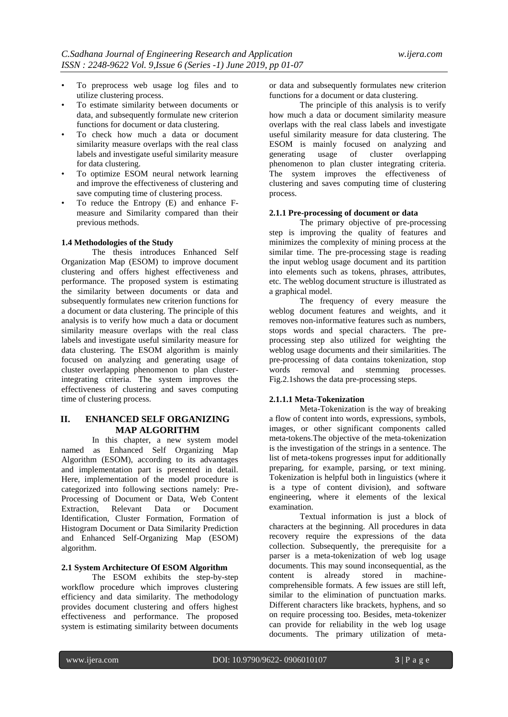- To preprocess web usage log files and to utilize clustering process.
- To estimate similarity between documents or data, and subsequently formulate new criterion functions for document or data clustering.
- To check how much a data or document similarity measure overlaps with the real class labels and investigate useful similarity measure for data clustering.
- To optimize ESOM neural network learning and improve the effectiveness of clustering and save computing time of clustering process.
- To reduce the Entropy (E) and enhance Fmeasure and Similarity compared than their previous methods.

#### **1.4 Methodologies of the Study**

The thesis introduces Enhanced Self Organization Map (ESOM) to improve document clustering and offers highest effectiveness and performance. The proposed system is estimating the similarity between documents or data and subsequently formulates new criterion functions for a document or data clustering. The principle of this analysis is to verify how much a data or document similarity measure overlaps with the real class labels and investigate useful similarity measure for data clustering. The ESOM algorithm is mainly focused on analyzing and generating usage of cluster overlapping phenomenon to plan clusterintegrating criteria. The system improves the effectiveness of clustering and saves computing time of clustering process.

# **II. ENHANCED SELF ORGANIZING MAP ALGORITHM**

In this chapter, a new system model named as Enhanced Self Organizing Map Algorithm (ESOM), according to its advantages and implementation part is presented in detail. Here, implementation of the model procedure is categorized into following sections namely: Pre-Processing of Document or Data, Web Content Extraction, Relevant Data or Document Identification, Cluster Formation, Formation of Histogram Document or Data Similarity Prediction and Enhanced Self-Organizing Map (ESOM) algorithm.

#### **2.1 System Architecture Of ESOM Algorithm**

The ESOM exhibits the step-by-step workflow procedure which improves clustering efficiency and data similarity. The methodology provides document clustering and offers highest effectiveness and performance. The proposed system is estimating similarity between documents

or data and subsequently formulates new criterion functions for a document or data clustering.

The principle of this analysis is to verify how much a data or document similarity measure overlaps with the real class labels and investigate useful similarity measure for data clustering. The ESOM is mainly focused on analyzing and<br>generating usage of cluster overlapping generating usage of cluster overlapping phenomenon to plan cluster integrating criteria. The system improves the effectiveness of clustering and saves computing time of clustering process.

#### **2.1.1 Pre-processing of document or data**

The primary objective of pre-processing step is improving the quality of features and minimizes the complexity of mining process at the similar time. The pre-processing stage is reading the input weblog usage document and its partition into elements such as tokens, phrases, attributes, etc. The weblog document structure is illustrated as a graphical model.

The frequency of every measure the weblog document features and weights, and it removes non-informative features such as numbers, stops words and special characters. The preprocessing step also utilized for weighting the weblog usage documents and their similarities. The pre-processing of data contains tokenization, stop words removal and stemming processes. Fig.2.1shows the data pre-processing steps.

#### **2.1.1.1 Meta-Tokenization**

Meta-Tokenization is the way of breaking a flow of content into words, expressions, symbols, images, or other significant components called meta-tokens.The objective of the meta-tokenization is the investigation of the strings in a sentence. The list of meta-tokens progresses input for additionally preparing, for example, parsing, or text mining. Tokenization is helpful both in linguistics (where it is a type of content division), and software engineering, where it elements of the lexical examination.

Textual information is just a block of characters at the beginning. All procedures in data recovery require the expressions of the data collection. Subsequently, the prerequisite for a parser is a meta-tokenization of web log usage documents. This may sound inconsequential, as the content is already stored in machinecomprehensible formats. A few issues are still left, similar to the elimination of punctuation marks. Different characters like brackets, hyphens, and so on require processing too. Besides, meta-tokenizer can provide for reliability in the web log usage documents. The primary utilization of meta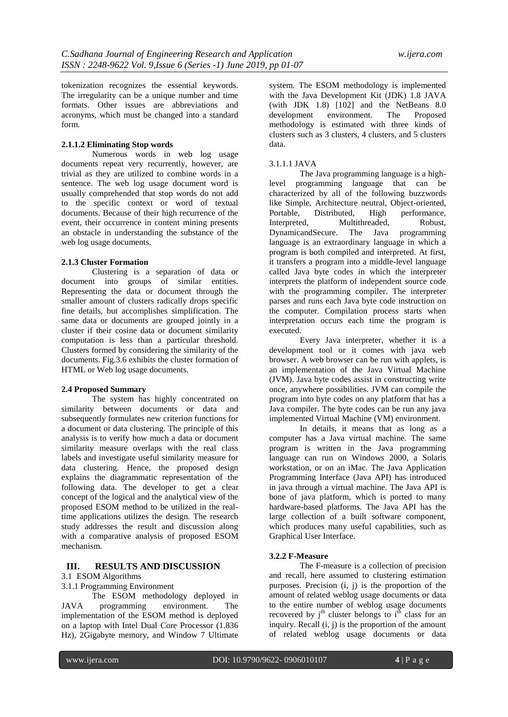tokenization recognizes the essential keywords. The irregularity can be a unique number and time formats. Other issues are abbreviations and acronyms, which must be changed into a standard form.

#### **2.1.1.2 Eliminating Stop words**

Numerous words in web log usage documents repeat very recurrently, however, are trivial as they are utilized to combine words in a sentence. The web log usage document word is usually comprehended that stop words do not add to the specific context or word of textual documents. Because of their high recurrence of the event, their occurrence in content mining presents an obstacle in understanding the substance of the web log usage documents.

### **2.1.3 Cluster Formation**

Clustering is a separation of data or document into groups of similar entities. Representing the data or document through the smaller amount of clusters radically drops specific fine details, but accomplishes simplification. The same data or documents are grouped jointly in a cluster if their cosine data or document similarity computation is less than a particular threshold. Clusters formed by considering the similarity of the documents. Fig.3.6 exhibits the cluster formation of HTML or Web log usage documents.

# **2.4 Proposed Summary**

The system has highly concentrated on similarity between documents or data and subsequently formulates new criterion functions for a document or data clustering. The principle of this analysis is to verify how much a data or document similarity measure overlaps with the real class labels and investigate useful similarity measure for data clustering. Hence, the proposed design explains the diagrammatic representation of the following data. The developer to get a clear concept of the logical and the analytical view of the proposed ESOM method to be utilized in the realtime applications utilizes the design. The research study addresses the result and discussion along with a comparative analysis of proposed ESOM mechanism.

# **III. RESULTS AND DISCUSSION**

3.1 ESOM Algorithms

3.1.1 Programming Environment

The ESOM methodology deployed in programming environment. The JAVA programming environment. The implementation of the ESOM method is deployed on a laptop with Intel Dual Core Processor (1.836 Hz), 2Gigabyte memory, and Window 7 Ultimate

system. The ESOM methodology is implemented with the Java Development Kit (JDK) 1.8 JAVA (with JDK 1.8) [102] and the NetBeans 8.0 development environment. The Proposed methodology is estimated with three kinds of clusters such as 3 clusters, 4 clusters, and 5 clusters data.

# 3.1.1.1 JAVA

The Java programming language is a highlevel programming language that can be characterized by all of the following buzzwords like Simple, Architecture neutral, Object-oriented, Portable, Distributed, High performance, Interpreted, Multithreaded, Robust, DynamicandSecure. The Java programming language is an extraordinary language in which a program is both compiled and interpreted. At first, it transfers a program into a middle-level language called Java byte codes in which the interpreter interprets the platform of independent source code with the programming compiler. The interpreter parses and runs each Java byte code instruction on the computer. Compilation process starts when interpretation occurs each time the program is executed.

Every Java interpreter, whether it is a development tool or it comes with java web browser. A web browser can be run with applets, is an implementation of the Java Virtual Machine (JVM). Java byte codes assist in constructing write once, anywhere possibilities. JVM can compile the program into byte codes on any platform that has a Java compiler. The byte codes can be run any java implemented Virtual Machine (VM) environment.

In details, it means that as long as a computer has a Java virtual machine. The same program is written in the Java programming language can run on Windows 2000, a Solaris workstation, or on an iMac. The Java Application Programming Interface (Java API) has introduced in java through a virtual machine. The Java API is bone of java platform, which is ported to many hardware-based platforms. The Java API has the large collection of a built software component, which produces many useful capabilities, such as Graphical User Interface.

# **3.2.2 F-Measure**

The F-measure is a collection of precision and recall, here assumed to clustering estimation purposes. Precision (i, j) is the proportion of the amount of related weblog usage documents or data to the entire number of weblog usage documents recovered by  $j<sup>th</sup>$  cluster belongs to  $i<sup>th</sup>$  class for an inquiry. Recall (i, j) is the proportion of the amount of related weblog usage documents or data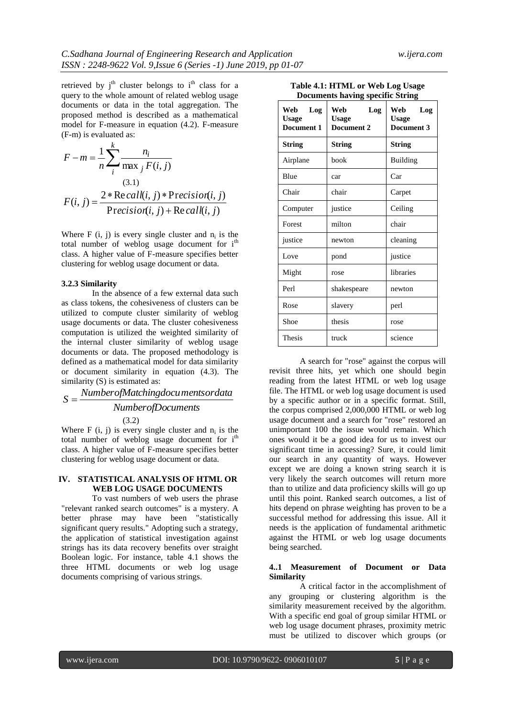retrieved by  $i<sup>th</sup>$  cluster belongs to  $i<sup>th</sup>$  class for a query to the whole amount of related weblog usage documents or data in the total aggregation. The proposed method is described as a mathematical model for F-measure in equation (4.2). F-measure (F-m) is evaluated as:

$$
F - m = \frac{1}{n} \sum_{i}^{k} \frac{n_i}{\max_j F(i, j)}
$$
  
(3.1)  

$$
F(i, j) = \frac{2 * \text{Re call}(i, j) * \text{Precision}(i, j)}{\text{Precision}(i, j) + \text{Re call}(i, j)}
$$

Where  $F(i, j)$  is every single cluster and  $n_i$  is the total number of weblog usage document for  $i<sup>th</sup>$ class. A higher value of F-measure specifies better clustering for weblog usage document or data.

#### **3.2.3 Similarity**

In the absence of a few external data such as class tokens, the cohesiveness of clusters can be utilized to compute cluster similarity of weblog usage documents or data. The cluster cohesiveness computation is utilized the weighted similarity of the internal cluster similarity of weblog usage documents or data. The proposed methodology is defined as a mathematical model for data similarity or document similarity in equation (4.3). The similarity (S) is estimated as:

# *NumberofDocuments NumberofMatchingdocumentsordata S* (3.2)

Where  $F(i, j)$  is every single cluster and  $n_i$  is the total number of weblog usage document for  $i<sup>th</sup>$ class. A higher value of F-measure specifies better clustering for weblog usage document or data.

## **IV. STATISTICAL ANALYSIS OF HTML OR WEB LOG USAGE DOCUMENTS**

To vast numbers of web users the phrase "relevant ranked search outcomes" is a mystery. A better phrase may have been "statistically significant query results." Adopting such a strategy, the application of statistical investigation against strings has its data recovery benefits over straight Boolean logic. For instance, table 4.1 shows the three HTML documents or web log usage documents comprising of various strings.

| <b>Documents having specific String</b>  |                                          |                                          |
|------------------------------------------|------------------------------------------|------------------------------------------|
| Web<br>Log<br><b>Usage</b><br>Document 1 | Web<br>Log<br><b>Usage</b><br>Document 2 | Web<br>Log<br><b>Usage</b><br>Document 3 |
| <b>String</b>                            | String                                   | String                                   |
| Airplane                                 | book                                     | Building                                 |
| Blue                                     | car                                      | Car                                      |
| Chair                                    | chair                                    | Carpet                                   |
| Computer                                 | justice                                  | Ceiling                                  |
| Forest                                   | milton                                   | chair                                    |
| justice                                  | newton                                   | cleaning                                 |
| Love                                     | pond                                     | justice                                  |
| Might                                    | rose                                     | libraries                                |
| Perl                                     | shakespeare                              | newton                                   |
| Rose                                     | slavery                                  | perl                                     |

Shoe hesis rose

Thesis truck science

**Table 4.1: HTML or Web Log Usage** 

A search for "rose" against the corpus will revisit three hits, yet which one should begin reading from the latest HTML or web log usage file. The HTML or web log usage document is used by a specific author or in a specific format. Still, the corpus comprised 2,000,000 HTML or web log usage document and a search for "rose" restored an unimportant 100 the issue would remain. Which ones would it be a good idea for us to invest our significant time in accessing? Sure, it could limit our search in any quantity of ways. However except we are doing a known string search it is very likely the search outcomes will return more than to utilize and data proficiency skills will go up until this point. Ranked search outcomes, a list of hits depend on phrase weighting has proven to be a successful method for addressing this issue. All it needs is the application of fundamental arithmetic against the HTML or web log usage documents being searched.

#### **4..1 Measurement of Document or Data Similarity**

A critical factor in the accomplishment of any grouping or clustering algorithm is the similarity measurement received by the algorithm. With a specific end goal of group similar HTML or web log usage document phrases, proximity metric must be utilized to discover which groups (or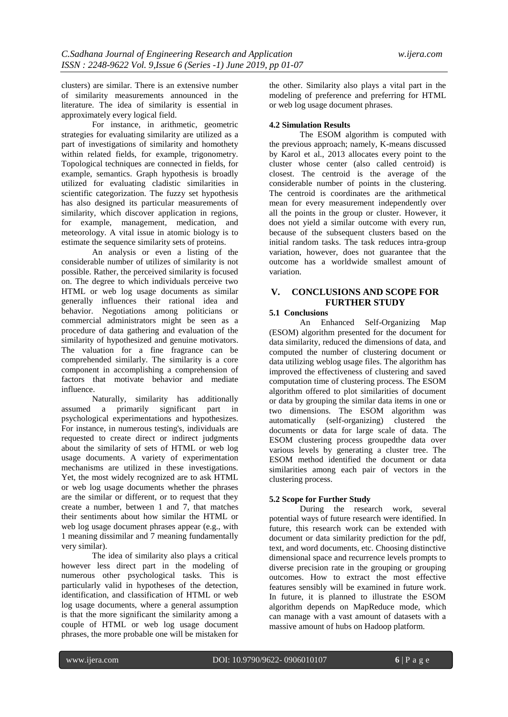clusters) are similar. There is an extensive number of similarity measurements announced in the literature. The idea of similarity is essential in approximately every logical field.

For instance, in arithmetic, geometric strategies for evaluating similarity are utilized as a part of investigations of similarity and homothety within related fields, for example, trigonometry. Topological techniques are connected in fields, for example, semantics. Graph hypothesis is broadly utilized for evaluating cladistic similarities in scientific categorization. The fuzzy set hypothesis has also designed its particular measurements of similarity, which discover application in regions, for example, management, medication, and meteorology. A vital issue in atomic biology is to estimate the sequence similarity sets of proteins.

An analysis or even a listing of the considerable number of utilizes of similarity is not possible. Rather, the perceived similarity is focused on. The degree to which individuals perceive two HTML or web log usage documents as similar generally influences their rational idea and behavior. Negotiations among politicians or commercial administrators might be seen as a procedure of data gathering and evaluation of the similarity of hypothesized and genuine motivators. The valuation for a fine fragrance can be comprehended similarly. The similarity is a core component in accomplishing a comprehension of factors that motivate behavior and mediate influence.

Naturally, similarity has additionally assumed a primarily significant part in psychological experimentations and hypothesizes. For instance, in numerous testing's, individuals are requested to create direct or indirect judgments about the similarity of sets of HTML or web log usage documents. A variety of experimentation mechanisms are utilized in these investigations. Yet, the most widely recognized are to ask HTML or web log usage documents whether the phrases are the similar or different, or to request that they create a number, between 1 and 7, that matches their sentiments about how similar the HTML or web log usage document phrases appear (e.g., with 1 meaning dissimilar and 7 meaning fundamentally very similar).

The idea of similarity also plays a critical however less direct part in the modeling of numerous other psychological tasks. This is particularly valid in hypotheses of the detection, identification, and classification of HTML or web log usage documents, where a general assumption is that the more significant the similarity among a couple of HTML or web log usage document phrases, the more probable one will be mistaken for

the other. Similarity also plays a vital part in the modeling of preference and preferring for HTML or web log usage document phrases.

### **4.2 Simulation Results**

The ESOM algorithm is computed with the previous approach; namely, K-means discussed by Karol et al., 2013 allocates every point to the cluster whose center (also called centroid) is closest. The centroid is the average of the considerable number of points in the clustering. The centroid is coordinates are the arithmetical mean for every measurement independently over all the points in the group or cluster. However, it does not yield a similar outcome with every run, because of the subsequent clusters based on the initial random tasks. The task reduces intra-group variation, however, does not guarantee that the outcome has a worldwide smallest amount of variation.

# **V. CONCLUSIONS AND SCOPE FOR FURTHER STUDY**

### **5.1 Conclusions**

An Enhanced Self-Organizing Map (ESOM) algorithm presented for the document for data similarity, reduced the dimensions of data, and computed the number of clustering document or data utilizing weblog usage files. The algorithm has improved the effectiveness of clustering and saved computation time of clustering process. The ESOM algorithm offered to plot similarities of document or data by grouping the similar data items in one or two dimensions. The ESOM algorithm was automatically (self-organizing) clustered the documents or data for large scale of data. The ESOM clustering process groupedthe data over various levels by generating a cluster tree. The ESOM method identified the document or data similarities among each pair of vectors in the clustering process.

# **5.2 Scope for Further Study**

During the research work, several potential ways of future research were identified. In future, this research work can be extended with document or data similarity prediction for the pdf, text, and word documents, etc. Choosing distinctive dimensional space and recurrence levels prompts to diverse precision rate in the grouping or grouping outcomes. How to extract the most effective features sensibly will be examined in future work. In future, it is planned to illustrate the ESOM algorithm depends on MapReduce mode, which can manage with a vast amount of datasets with a massive amount of hubs on Hadoop platform.